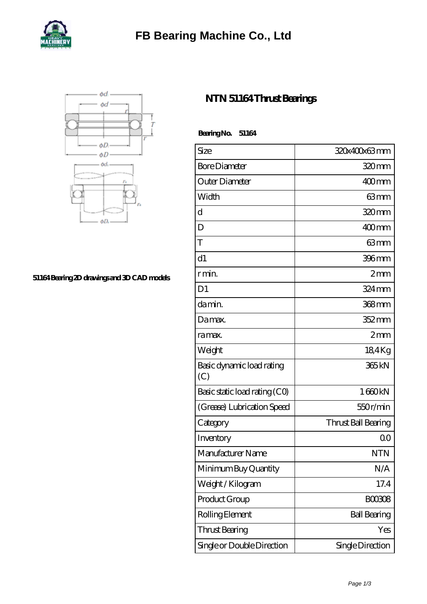



## **[51164 Bearing 2D drawings and 3D CAD models](https://m.5can.org/pic-115605.html)**

## **[NTN 51164 Thrust Bearings](https://m.5can.org/bh-115605-ntn-51164-thrust-bearings.html)**

| Size                             | 320x400x63mm        |
|----------------------------------|---------------------|
| <b>Bore Diameter</b>             | 320mm               |
| Outer Diameter                   | $400$ mm            |
| Width                            | 63mm                |
| ď                                | 320mm               |
| D                                | $400$ mm            |
| T                                | 63mm                |
| d1                               | $396$ mm            |
| r min.                           | 2mm                 |
| D <sub>1</sub>                   | $324 \,\mathrm{mm}$ |
| da min.                          | 368 <sub>mm</sub>   |
| Da max.                          | $352 \text{mm}$     |
| ra max.                          | 2mm                 |
| Weight                           | 184Kg               |
| Basic dynamic load rating<br>(C) | 365kN               |
| Basic static load rating (CO)    | 1660kN              |
| (Grease) Lubrication Speed       | 550r/min            |
| Category                         | Thrust Ball Bearing |
| Inventory                        | 00                  |
| Manufacturer Name                | <b>NTN</b>          |
| Minimum Buy Quantity             | N/A                 |
| Weight/Kilogram                  | 17.4                |
| Product Group                    | <b>BOO3O8</b>       |
| Rolling Element                  | <b>Ball Bearing</b> |
| <b>Thrust Bearing</b>            | Yes                 |

Single or Double Direction Single Direction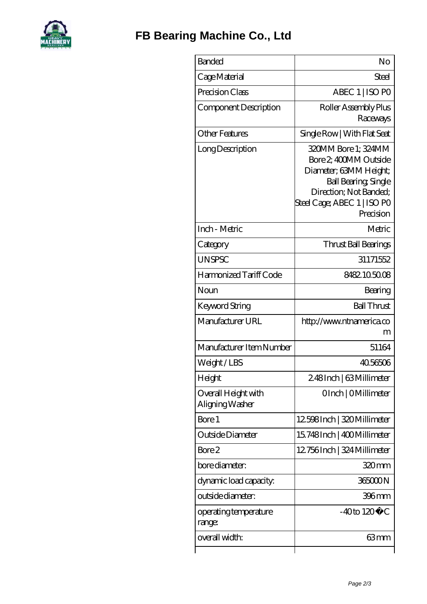

| <b>Banded</b>                          | No                                                                                                                                                                          |
|----------------------------------------|-----------------------------------------------------------------------------------------------------------------------------------------------------------------------------|
| Cage Material                          | Steel                                                                                                                                                                       |
| Precision Class                        | ABEC 1   ISO PO                                                                                                                                                             |
| Component Description                  | Roller Assembly Plus<br>Raceways                                                                                                                                            |
| <b>Other Features</b>                  | Single Row   With Flat Seat                                                                                                                                                 |
| Long Description                       | 320MM Bore 1; 324MM<br>Bore 2, 400MM Outside<br>Diameter; 63MM Height;<br><b>Ball Bearing, Single</b><br>Direction; Not Banded;<br>Steel Cage; ABEC 1   ISO PO<br>Precision |
| Inch - Metric                          | Metric                                                                                                                                                                      |
| Category                               | Thrust Ball Bearings                                                                                                                                                        |
| <b>UNSPSC</b>                          | 31171552                                                                                                                                                                    |
| Harmonized Tariff Code                 | 8482105008                                                                                                                                                                  |
| Noun                                   | Bearing                                                                                                                                                                     |
| Keyword String                         | <b>Ball Thrust</b>                                                                                                                                                          |
| Manufacturer URL                       | http://www.ntnamerica.co<br>m                                                                                                                                               |
| Manufacturer Item Number               | 51164                                                                                                                                                                       |
| Weight/LBS                             | 40.56506                                                                                                                                                                    |
| Height                                 | 2.48Inch   63 Millimeter                                                                                                                                                    |
| Overall Height with<br>Aligning Washer | OInch   OMillimeter                                                                                                                                                         |
| Bore 1                                 | 12598Inch   320 Millimeter                                                                                                                                                  |
| Outside Diameter                       | 15.748Inch   400Millimeter                                                                                                                                                  |
| Bore 2                                 | 12756Inch   324 Millimeter                                                                                                                                                  |
| bore diameter:                         | 320 <sub>mm</sub>                                                                                                                                                           |
| dynamic load capacity:                 | 365000N                                                                                                                                                                     |
| outside diameter:                      | 396mm                                                                                                                                                                       |
| operating temperature<br>range:        | $-40$ to $120^{\circ}$ C                                                                                                                                                    |
| overall width:                         | 63mm                                                                                                                                                                        |
|                                        |                                                                                                                                                                             |